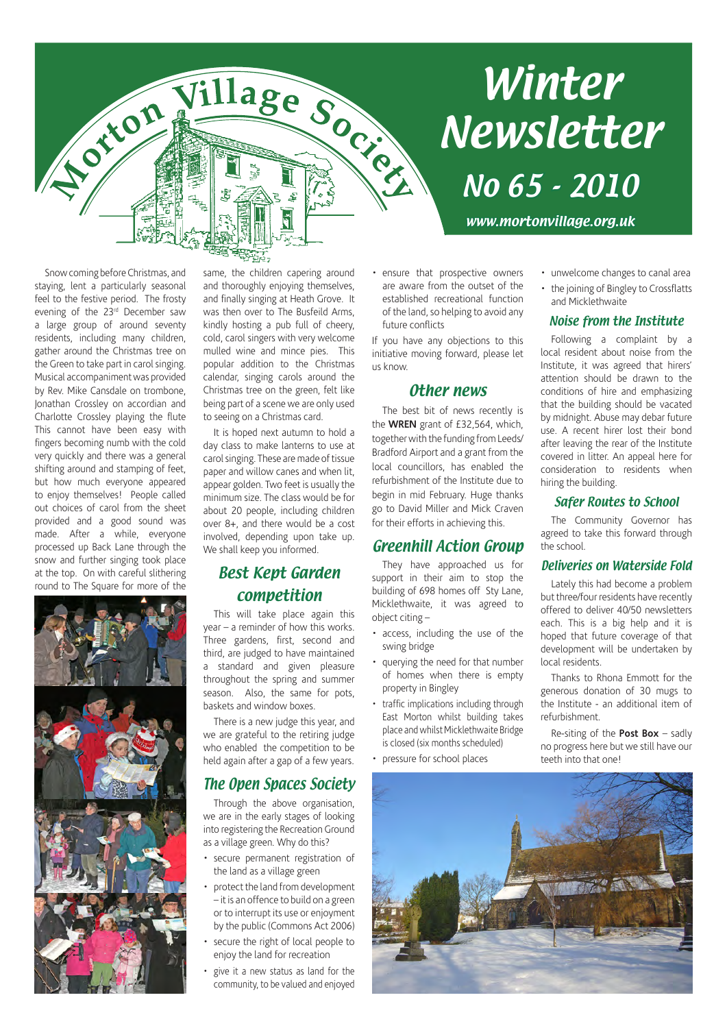# **Winter** Newsletter

www.mortonvillage.org.uk

No 65 - 2010

Snow coming before Christmas, and staying, lent a particularly seasonal feel to the festive period. The frosty evening of the 23rd December saw a large group of around seventy residents, including many children, gather around the Christmas tree on the Green to take part in carol singing. Musical accompaniment was provided by Rev. Mike Cansdale on trombone, Jonathan Crossley on accordian and Charlotte Crossley playing the flute This cannot have been easy with fingers becoming numb with the cold very quickly and there was a general shifting around and stamping of feet, but how much everyone appeared to enjoy themselves! People called out choices of carol from the sheet provided and a good sound was made. After a while, everyone processed up Back Lane through the snow and further singing took place at the top. On with careful slithering round to The Square for more of the



same, the children capering around and thoroughly enjoying themselves, and finally singing at Heath Grove. It was then over to The Busfeild Arms, kindly hosting a pub full of cheery, cold, carol singers with very welcome mulled wine and mince pies. This popular addition to the Christmas calendar, singing carols around the Christmas tree on the green, felt like being part of a scene we are only used to seeing on a Christmas card.

It is hoped next autumn to hold a day class to make lanterns to use at carol singing. These are made of tissue paper and willow canes and when lit, appear golden. Two feet is usually the minimum size. The class would be for about 20 people, including children over 8+, and there would be a cost involved, depending upon take up. We shall keep you informed.

#### Best Kept Garden competition

This will take place again this year – a reminder of how this works. Three gardens, first, second and third, are judged to have maintained a standard and given pleasure throughout the spring and summer season. Also, the same for pots, baskets and window boxes.

There is a new judge this year, and we are grateful to the retiring judge who enabled the competition to be held again after a gap of a few years.

#### The Open Spaces Society

Through the above organisation, we are in the early stages of looking into registering the Recreation Ground as a village green. Why do this?

- secure permanent registration of the land as a village green
- protect the land from development – it is an offence to build on a green or to interrupt its use or enjoyment by the public (Commons Act 2006)
- secure the right of local people to enjoy the land for recreation
- give it a new status as land for the community, to be valued and enjoyed

• ensure that prospective owners are aware from the outset of the established recreational function of the land, so helping to avoid any future conflicts

If you have any objections to this initiative moving forward, please let us know.

#### Other news

The best bit of news recently is the **WREN** grant of £32,564, which, together with the funding from Leeds/ Bradford Airport and a grant from the local councillors, has enabled the refurbishment of the Institute due to begin in mid February. Huge thanks go to David Miller and Mick Craven for their efforts in achieving this.

#### Greenhill Action Group

They have approached us for support in their aim to stop the building of 698 homes off Sty Lane, Micklethwaite, it was agreed to object citing –

- access, including the use of the swing bridge
- querying the need for that number of homes when there is empty property in Bingley
- traffic implications including through East Morton whilst building takes place and whilst Micklethwaite Bridge is closed (six months scheduled)
- pressure for school places

#### • unwelcome changes to canal area

• the joining of Bingley to Crossflatts and Micklethwaite

#### Noise from the Institute

Following a complaint by a local resident about noise from the Institute, it was agreed that hirers' attention should be drawn to the conditions of hire and emphasizing that the building should be vacated by midnight. Abuse may debar future use. A recent hirer lost their bond after leaving the rear of the Institute covered in litter. An appeal here for consideration to residents when hiring the building.

#### Safer Routes to School

The Community Governor has agreed to take this forward through the school.

#### Deliveries on Waterside Fold

Lately this had become a problem but three/four residents have recently offered to deliver 40/50 newsletters each. This is a big help and it is hoped that future coverage of that development will be undertaken by local residents.

Thanks to Rhona Emmott for the generous donation of 30 mugs to the Institute - an additional item of refurbishment.

Re-siting of the **Post Box** – sadly no progress here but we still have our teeth into that one!



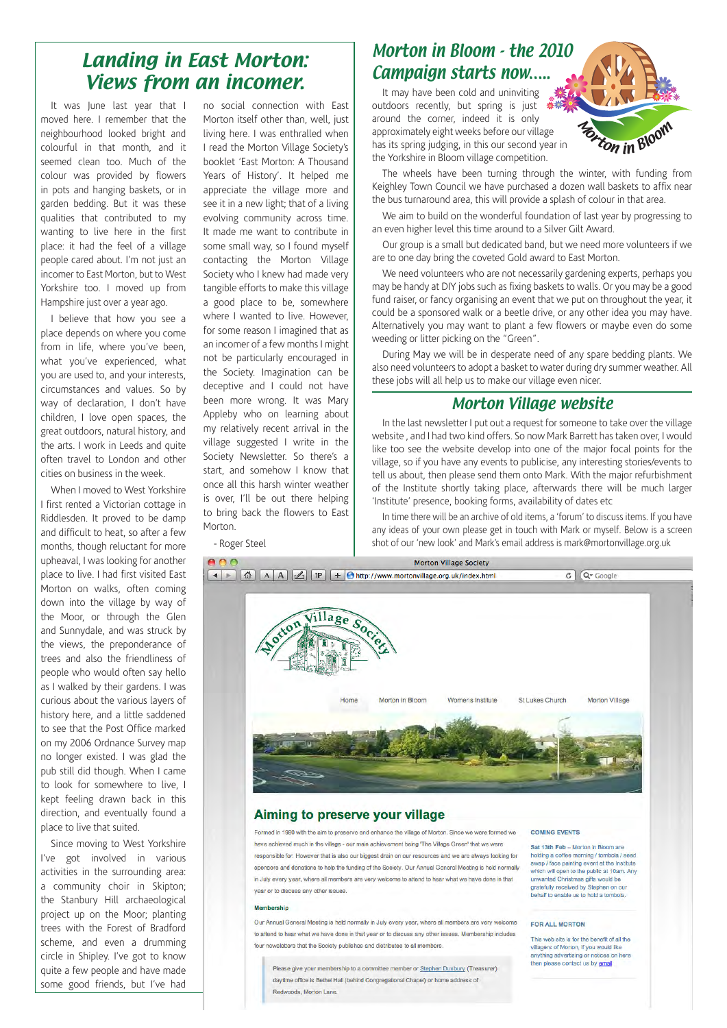### Landing in East Morton: Views from an incomer.

It was June last year that I moved here. I remember that the neighbourhood looked bright and colourful in that month, and it seemed clean too. Much of the colour was provided by flowers in pots and hanging baskets, or in garden bedding. But it was these qualities that contributed to my wanting to live here in the first place: it had the feel of a village people cared about. I'm not just an incomer to East Morton, but to West Yorkshire too. I moved up from Hampshire just over a year ago.

I believe that how you see a place depends on where you come from in life, where you've been, what you've experienced, what you are used to, and your interests, circumstances and values. So by way of declaration, I don't have children, I love open spaces, the great outdoors, natural history, and the arts. I work in Leeds and quite often travel to London and other cities on business in the week.

When I moved to West Yorkshire I first rented a Victorian cottage in Riddlesden. It proved to be damp and difficult to heat, so after a few months, though reluctant for more upheaval, I was looking for another place to live. I had first visited East Morton on walks, often coming down into the village by way of the Moor, or through the Glen and Sunnydale, and was struck by the views, the preponderance of trees and also the friendliness of people who would often say hello as I walked by their gardens. I was curious about the various layers of history here, and a little saddened to see that the Post Office marked on my 2006 Ordnance Survey map no longer existed. I was glad the pub still did though. When I came to look for somewhere to live, I kept feeling drawn back in this direction, and eventually found a place to live that suited.

Since moving to West Yorkshire I've got involved in various activities in the surrounding area: a community choir in Skipton; the Stanbury Hill archaeological project up on the Moor; planting trees with the Forest of Bradford scheme, and even a drumming circle in Shipley. I've got to know quite a few people and have made some good friends, but I've had no social connection with East Morton itself other than, well, just living here. I was enthralled when I read the Morton Village Society's booklet 'East Morton: A Thousand Years of History'. It helped me appreciate the village more and see it in a new light; that of a living evolving community across time. It made me want to contribute in some small way, so I found myself contacting the Morton Village Society who I knew had made very tangible efforts to make this village a good place to be, somewhere where I wanted to live. However, for some reason I imagined that as an incomer of a few months I might not be particularly encouraged in the Society. Imagination can be deceptive and I could not have been more wrong. It was Mary Appleby who on learning about my relatively recent arrival in the village suggested I write in the Society Newsletter. So there's a start, and somehow I know that once all this harsh winter weather is over, I'll be out there helping to bring back the flowers to East Morton.

- Roger Steel

### Morton in Bloom - the 2010 Campaign starts now…..

It may have been cold and uninviting outdoors recently, but spring is just around the corner, indeed it is only approximately eight weeks before our village has its spring judging, in this our second year in the Yorkshire in Bloom village competition.



The wheels have been turning through the winter, with funding from Keighley Town Council we have purchased a dozen wall baskets to affix near the bus turnaround area, this will provide a splash of colour in that area.

We aim to build on the wonderful foundation of last year by progressing to an even higher level this time around to a Silver Gilt Award.

Our group is a small but dedicated band, but we need more volunteers if we are to one day bring the coveted Gold award to East Morton.

We need volunteers who are not necessarily gardening experts, perhaps you may be handy at DIY jobs such as fixing baskets to walls. Or you may be a good fund raiser, or fancy organising an event that we put on throughout the year, it could be a sponsored walk or a beetle drive, or any other idea you may have. Alternatively you may want to plant a few flowers or maybe even do some weeding or litter picking on the "Green".

During May we will be in desperate need of any spare bedding plants. We also need volunteers to adopt a basket to water during dry summer weather. All these jobs will all help us to make our village even nicer.

#### Morton Village website

In the last newsletter I put out a request for someone to take over the village website , and I had two kind offers. So now Mark Barrett has taken over, I would like too see the website develop into one of the major focal points for the village, so if you have any events to publicise, any interesting stories/events to tell us about, then please send them onto Mark. With the major refurbishment of the Institute shortly taking place, afterwards there will be much larger 'Institute' presence, booking forms, availability of dates etc

In time there will be an archive of old items, a 'forum' to discuss items. If you have any ideas of your own please get in touch with Mark or myself. Below is a screen shot of our 'new look' and Mark's email address is mark@mortonvillage.org.uk



#### Aiming to preserve your village

Formed in 1980 with the aim to preserve and enhance the village of Morton. Since we were formed we have achieved much in the village - our main achievement being 'The Village Green' that we were responsible for. However that is also our biggest drain on our resources and we are always looking for sponsors and donations to help the funding of the Society. Our Annual General Meeting is held normally in July every year, where all members are very welcome to attend to hear what we have done in that year or to discuss any other issues.

#### Mamharehin

Our Annual General Meeting is held normally in July every year, where all members are very welcome to attend to hear what we have done in that year or to discuss any other issues. Membership includes four newsletters that the Society publishes and distributes to all members.

Please give your membership to a committee member or Stephen Duxbury (Treasurer) daytime office is Bethel Hall (behind Congregational Chapel) or home address of Redwoods, Morton Lane

#### COMING EVENTS

Sat 13th Feb - Morton in Bloom are holding a coffee morning / tombola / seed swap / face painting vent at the Institute<br>which will open to the public at 10am. Any unwanted Christmas gifts would be gratefully received by Stephen on our<br>behalf to enable us to hold a tombola.

#### FOR ALL MORTON

This web site is for the benefit of all the villagers of Morton, if you would like anything advertising or notices on here then please contact us by **email**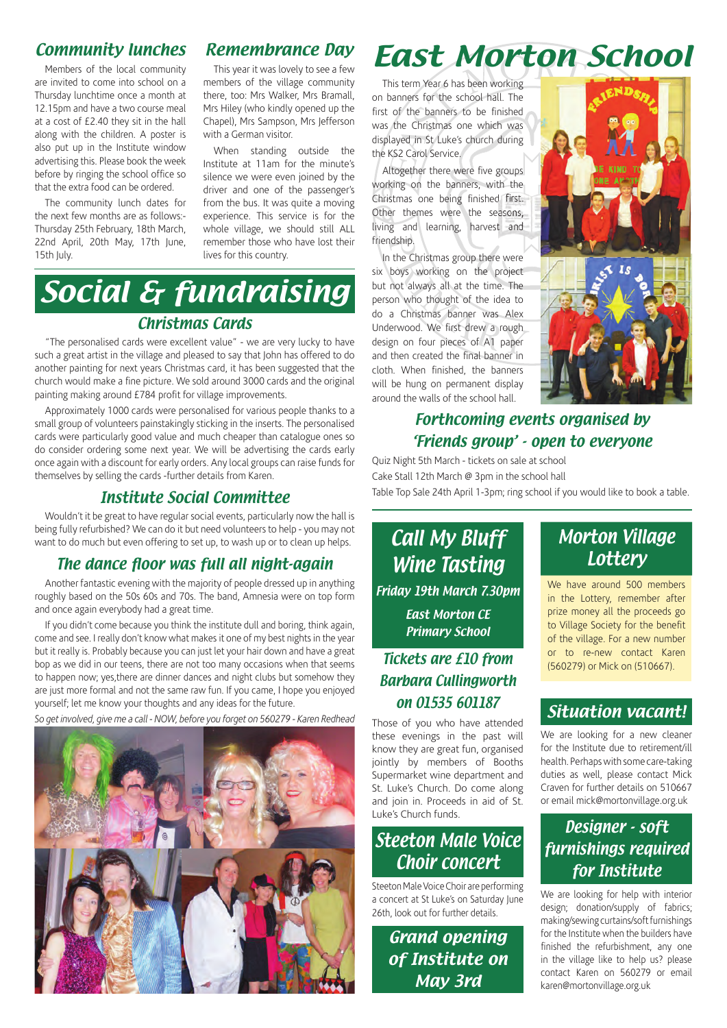#### Community lunches

Members of the local community are invited to come into school on a Thursday lunchtime once a month at 12.15pm and have a two course meal at a cost of £2.40 they sit in the hall along with the children. A poster is also put up in the Institute window advertising this. Please book the week before by ringing the school office so that the extra food can be ordered.

The community lunch dates for the next few months are as follows:- Thursday 25th February, 18th March, 22nd April, 20th May, 17th June, 15th July.

#### Remembrance Day

This year it was lovely to see a few members of the village community there, too: Mrs Walker, Mrs Bramall, Mrs Hiley (who kindly opened up the Chapel), Mrs Sampson, Mrs Jefferson with a German visitor.

When standing outside the Institute at 11am for the minute's silence we were even joined by the driver and one of the passenger's from the bus. It was quite a moving experience. This service is for the whole village, we should still ALL remember those who have lost their lives for this country.

### Social & fundraising Christmas Cards

"The personalised cards were excellent value" - we are very lucky to have such a great artist in the village and pleased to say that John has offered to do another painting for next years Christmas card, it has been suggested that the church would make a fine picture. We sold around 3000 cards and the original painting making around £784 profit for village improvements.

Approximately 1000 cards were personalised for various people thanks to a small group of volunteers painstakingly sticking in the inserts. The personalised cards were particularly good value and much cheaper than catalogue ones so do consider ordering some next year. We will be advertising the cards early once again with a discount for early orders. Any local groups can raise funds for themselves by selling the cards -further details from Karen.

#### Institute Social Committee

Wouldn't it be great to have regular social events, particularly now the hall is being fully refurbished? We can do it but need volunteers to help - you may not want to do much but even offering to set up, to wash up or to clean up helps.

#### The dance floor was full all night-again

Another fantastic evening with the majority of people dressed up in anything roughly based on the 50s 60s and 70s. The band, Amnesia were on top form and once again everybody had a great time.

If you didn't come because you think the institute dull and boring, think again, come and see. I really don't know what makes it one of my best nights in the year but it really is. Probably because you can just let your hair down and have a great bop as we did in our teens, there are not too many occasions when that seems to happen now; yes,there are dinner dances and night clubs but somehow they are just more formal and not the same raw fun. If you came, I hope you enjoyed yourself; let me know your thoughts and any ideas for the future.

*So get involved, give me a call - NOW, before you forget on 560279 - Karen Redhead*



### East Morton School

This term Year 6 has been working on banners for the school hall. The first of the banners to be finished was the Christmas one which was displayed in St Luke's church during the KS2 Carol Service.

Altogether there were five groups working on the banners, with the Christmas one being finished first. Other themes were the seasons, living and learning, harvest and friendship.

In the Christmas group there were six boys working on the project but not always all at the time. The person who thought of the idea to do a Christmas banner was Alex Underwood. We first drew a rough design on four pieces of A1 paper and then created the final banner in cloth. When finished, the banners will be hung on permanent display around the walls of the school hall.



#### Forthcoming events organised by 'Friends group' - open to everyone

Quiz Night 5th March - tickets on sale at school Cake Stall 12th March @ 3pm in the school hall

Table Top Sale 24th April 1-3pm; ring school if you would like to book a table.

Call My Bluff Wine Tasting Friday 19th March 7.30pm East Morton CE Primary School

#### Tickets are £10 from Barbara Cullingworth on 01535 601187

Those of you who have attended these evenings in the past will know they are great fun, organised jointly by members of Booths Supermarket wine department and St. Luke's Church. Do come along and join in. Proceeds in aid of St. Luke's Church funds.

### Steeton Male Voice Choir concert

Steeton Male Voice Choir are performing a concert at St Luke's on Saturday June 26th, look out for further details.

> Grand opening of Institute on May 3rd

#### Morton Village **Lottery**

We have around 500 members in the Lottery, remember after prize money all the proceeds go to Village Society for the benefit of the village. For a new number or to re-new contact Karen (560279) or Mick on (510667).

#### Situation vacant!

We are looking for a new cleaner for the Institute due to retirement/ill health. Perhaps with some care-taking duties as well, please contact Mick Craven for further details on 510667 or email mick@mortonvillage.org.uk

#### Designer - soft furnishings required for Institute

We are looking for help with interior design; donation/supply of fabrics; making/sewing curtains/soft furnishings for the Institute when the builders have finished the refurbishment, any one in the village like to help us? please contact Karen on 560279 or email karen@mortonvillage.org.uk